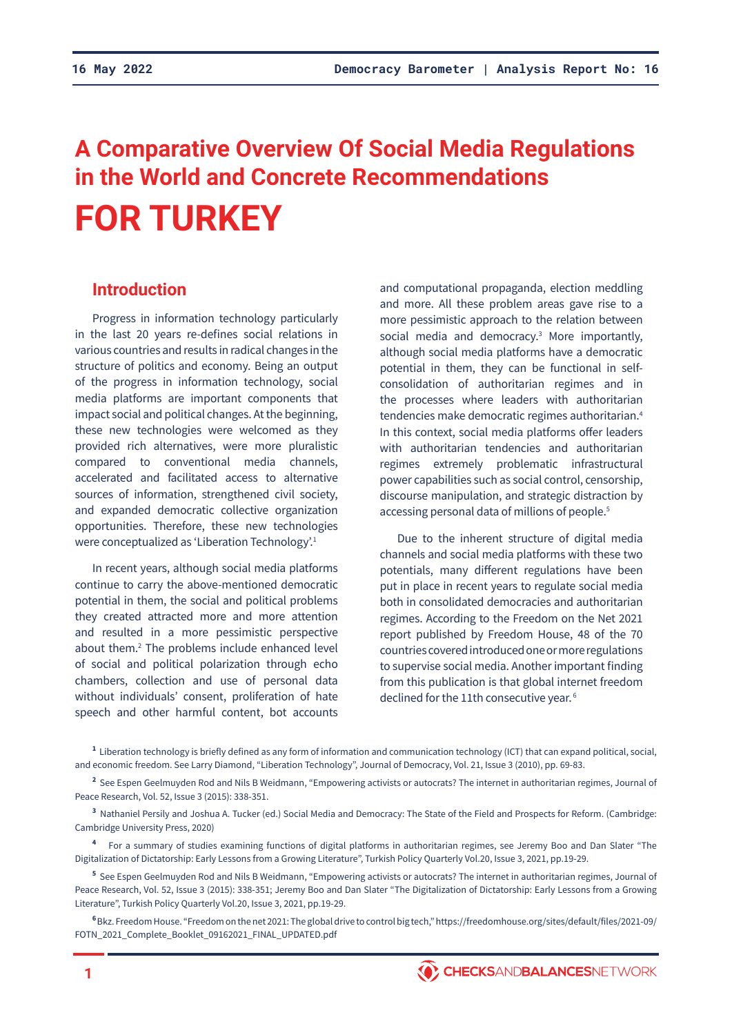# **A Comparative Overview Of Social Media Regulations in the World and Concrete Recommendations FOR TURKEY**

# **Introduction**

Progress in information technology particularly in the last 20 years re-defines social relations in various countries and results in radical changes in the structure of politics and economy. Being an output of the progress in information technology, social media platforms are important components that impact social and political changes. At the beginning, these new technologies were welcomed as they provided rich alternatives, were more pluralistic compared to conventional media channels, accelerated and facilitated access to alternative sources of information, strengthened civil society, and expanded democratic collective organization opportunities. Therefore, these new technologies were conceptualized as 'Liberation Technology'.<sup>1</sup>

In recent years, although social media platforms continue to carry the above-mentioned democratic potential in them, the social and political problems they created attracted more and more attention and resulted in a more pessimistic perspective about them.<sup>2</sup> The problems include enhanced level of social and political polarization through echo chambers, collection and use of personal data without individuals' consent, proliferation of hate speech and other harmful content, bot accounts

and computational propaganda, election meddling and more. All these problem areas gave rise to a more pessimistic approach to the relation between social media and democracy.<sup>3</sup> More importantly, although social media platforms have a democratic potential in them, they can be functional in selfconsolidation of authoritarian regimes and in the processes where leaders with authoritarian tendencies make democratic regimes authoritarian.<sup>4</sup> In this context, social media platforms offer leaders with authoritarian tendencies and authoritarian regimes extremely problematic infrastructural power capabilities such as social control, censorship, discourse manipulation, and strategic distraction by accessing personal data of millions of people.<sup>5</sup>

Due to the inherent structure of digital media channels and social media platforms with these two potentials, many different regulations have been put in place in recent years to regulate social media both in consolidated democracies and authoritarian regimes. According to the Freedom on the Net 2021 report published by Freedom House, 48 of the 70 countries covered introduced one or more regulations to supervise social media. Another important finding from this publication is that global internet freedom declined for the 11th consecutive year.<sup>6</sup>

**<sup>1</sup>**Liberation technology is briefly defined as any form of information and communication technology (ICT) that can expand political, social, and economic freedom. See Larry Diamond, "Liberation Technology", Journal of Democracy, Vol. 21, Issue 3 (2010), pp. 69-83.

<sup>2</sup> See Espen Geelmuyden Rod and Nils B Weidmann, "Empowering activists or autocrats? The internet in authoritarian regimes, Journal of Peace Research, Vol. 52, Issue 3 (2015): 338-351.

**<sup>3</sup>**Nathaniel Persily and Joshua A. Tucker (ed.) Social Media and Democracy: The State of the Field and Prospects for Reform. (Cambridge: Cambridge University Press, 2020)

**<sup>4</sup>**For a summary of studies examining functions of digital platforms in authoritarian regimes, see Jeremy Boo and Dan Slater "The Digitalization of Dictatorship: Early Lessons from a Growing Literature", Turkish Policy Quarterly Vol.20, Issue 3, 2021, pp.19-29.

**<sup>5</sup>**See Espen Geelmuyden Rod and Nils B Weidmann, "Empowering activists or autocrats? The internet in authoritarian regimes, Journal of Peace Research, Vol. 52, Issue 3 (2015): 338-351; Jeremy Boo and Dan Slater "The Digitalization of Dictatorship: Early Lessons from a Growing Literature", Turkish Policy Quarterly Vol.20, Issue 3, 2021, pp.19-29.

**<sup>6</sup>**Bkz. Freedom House. "Freedom on the net 2021: The global drive to control big tech," https://freedomhouse.org/sites/default/files/2021-09/ FOTN\_2021\_Complete\_Booklet\_09162021\_FINAL\_UPDATED.pdf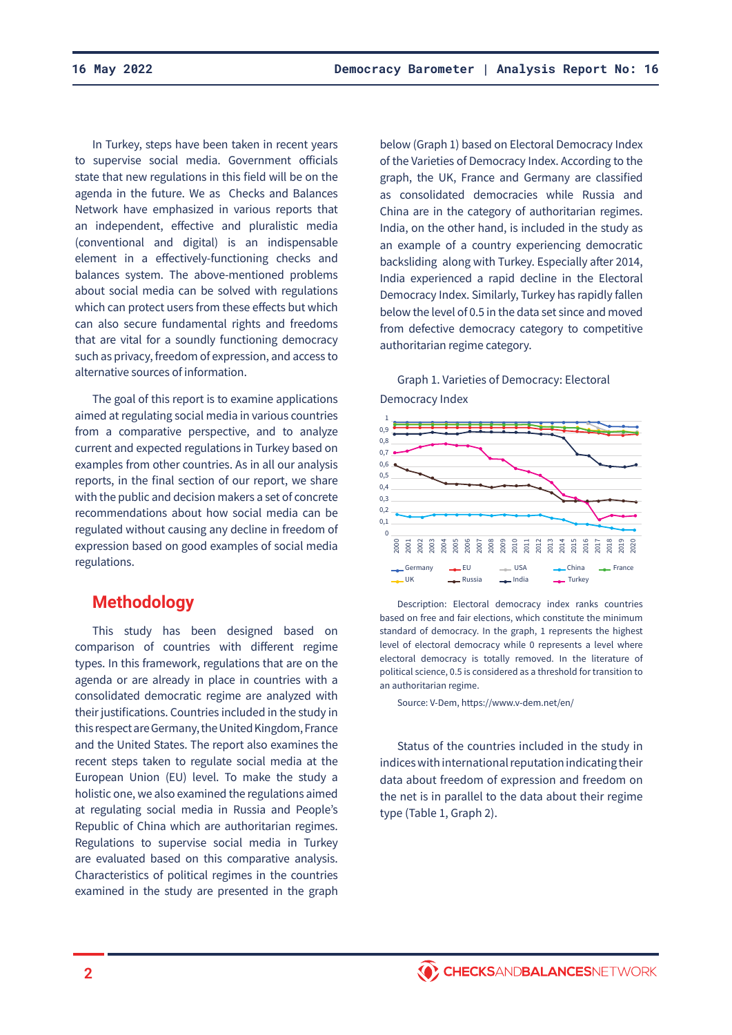In Turkey, steps have been taken in recent years to supervise social media. Government officials state that new regulations in this field will be on the agenda in the future. We as Checks and Balances Network have emphasized in various reports that an independent, effective and pluralistic media (conventional and digital) is an indispensable element in a effectively-functioning checks and balances system. The above-mentioned problems about social media can be solved with regulations which can protect users from these effects but which can also secure fundamental rights and freedoms that are vital for a soundly functioning democracy such as privacy, freedom of expression, and access to alternative sources of information.

The goal of this report is to examine applications aimed at regulating social media in various countries from a comparative perspective, and to analyze current and expected regulations in Turkey based on examples from other countries. As in all our analysis reports, in the final section of our report, we share with the public and decision makers a set of concrete recommendations about how social media can be regulated without causing any decline in freedom of expression based on good examples of social media regulations.

# **Methodology**

This study has been designed based on comparison of countries with different regime types. In this framework, regulations that are on the agenda or are already in place in countries with a consolidated democratic regime are analyzed with their justifications. Countries included in the study in this respect are Germany, the United Kingdom, France and the United States. The report also examines the recent steps taken to regulate social media at the European Union (EU) level. To make the study a holistic one, we also examined the regulations aimed at regulating social media in Russia and People's Republic of China which are authoritarian regimes. Regulations to supervise social media in Turkey are evaluated based on this comparative analysis. Characteristics of political regimes in the countries examined in the study are presented in the graph

below (Graph 1) based on Electoral Democracy Index of the Varieties of Democracy Index. According to the graph, the UK, France and Germany are classified as consolidated democracies while Russia and China are in the category of authoritarian regimes. India, on the other hand, is included in the study as an example of a country experiencing democratic backsliding along with Turkey. Especially after 2014, India experienced a rapid decline in the Electoral Democracy Index. Similarly, Turkey has rapidly fallen below the level of 0.5 in the data set since and moved from defective democracy category to competitive authoritarian regime category.

Graph 1. Varieties of Democracy: Electoral Democracy Index



Description: Electoral democracy index ranks countries based on free and fair elections, which constitute the minimum standard of democracy. In the graph, 1 represents the highest level of electoral democracy while 0 represents a level where electoral democracy is totally removed. In the literature of political science, 0.5 is considered as a threshold for transition to an authoritarian regime.

Source: V-Dem, https://www.v-dem.net/en/

Status of the countries included in the study in indices with international reputation indicating their data about freedom of expression and freedom on the net is in parallel to the data about their regime type (Table 1, Graph 2).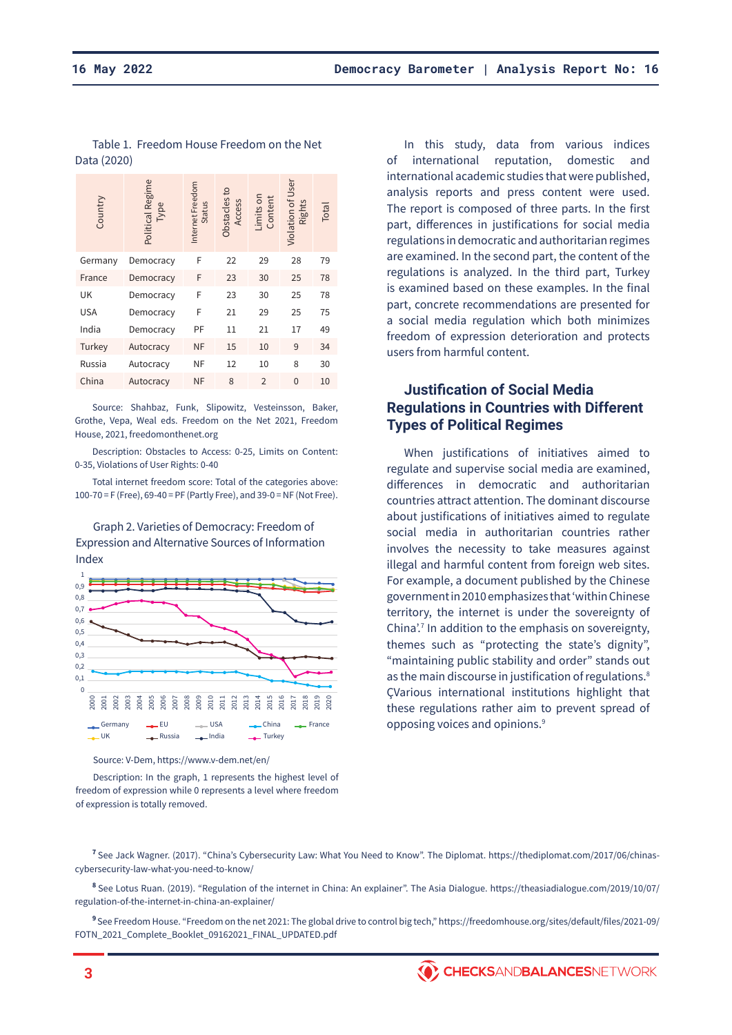| Country    | Political Regime<br>Type | Internet Freedom<br>Status | Obstacles to<br>Access | imits on<br>Content | Violation of User<br>Rights | Total |
|------------|--------------------------|----------------------------|------------------------|---------------------|-----------------------------|-------|
| Germany    | Democracy                | F                          | 22                     | 29                  | 28                          | 79    |
| France     | Democracy                | F                          | 23                     | 30                  | 25                          | 78    |
| UK         | Democracy                | F                          | 23                     | 30                  | 25                          | 78    |
| <b>USA</b> | Democracy                | F                          | 21                     | 29                  | 25                          | 75    |
| India      | Democracy                | PF                         | 11                     | 21                  | 17                          | 49    |
| Turkey     | Autocracy                | NF                         | 15                     | 10                  | 9                           | 34    |
| Russia     | Autocracy                | NF                         | 12                     | 10                  | 8                           | 30    |
| China      | Autocracy                | NF                         | 8                      | $\overline{2}$      | $\mathbf{0}$                | 10    |

Table 1. Freedom House Freedom on the Net Data (2020)

Source: Shahbaz, Funk, Slipowitz, Vesteinsson, Baker, Grothe, Vepa, Weal eds. Freedom on the Net 2021, Freedom House, 2021, freedomonthenet.org

Description: Obstacles to Access: 0-25, Limits on Content: 0-35, Violations of User Rights: 0-40

Total internet freedom score: Total of the categories above: 100-70 = F (Free), 69-40 = PF (Partly Free), and 39-0 = NF (Not Free).

Graph 2. Varieties of Democracy: Freedom of Expression and Alternative Sources of Information Index



Source: V-Dem, https://www.v-dem.net/en/

Description: In the graph, 1 represents the highest level of freedom of expression while 0 represents a level where freedom of expression is totally removed.

In this study, data from various indices of international reputation, domestic and international academic studies that were published, analysis reports and press content were used. The report is composed of three parts. In the first part, differences in justifications for social media regulations in democratic and authoritarian regimes are examined. In the second part, the content of the regulations is analyzed. In the third part, Turkey is examined based on these examples. In the final part, concrete recommendations are presented for a social media regulation which both minimizes freedom of expression deterioration and protects users from harmful content.

# **Justification of Social Media Regulations in Countries with Different Types of Political Regimes**

When justifications of initiatives aimed to regulate and supervise social media are examined, differences in democratic and authoritarian countries attract attention. The dominant discourse about justifications of initiatives aimed to regulate social media in authoritarian countries rather involves the necessity to take measures against illegal and harmful content from foreign web sites. For example, a document published by the Chinese government in 2010 emphasizes that 'within Chinese territory, the internet is under the sovereignty of China'.<sup>7</sup> In addition to the emphasis on sovereignty, themes such as "protecting the state's dignity", "maintaining public stability and order" stands out as the main discourse in justification of regulations.<sup>8</sup> ÇVarious international institutions highlight that these regulations rather aim to prevent spread of opposing voices and opinions.<sup>9</sup>

**<sup>7</sup>**See Jack Wagner. (2017). "China's Cybersecurity Law: What You Need to Know". The Diplomat. https://thediplomat.com/2017/06/chinascybersecurity-law-what-you-need-to-know/

**<sup>8</sup>**See Lotus Ruan. (2019). "Regulation of the internet in China: An explainer". The Asia Dialogue. https://theasiadialogue.com/2019/10/07/ regulation-of-the-internet-in-china-an-explainer/

**<sup>9</sup>**See Freedom House. "Freedom on the net 2021: The global drive to control big tech," https://freedomhouse.org/sites/default/files/2021-09/ FOTN\_2021\_Complete\_Booklet\_09162021\_FINAL\_UPDATED.pdf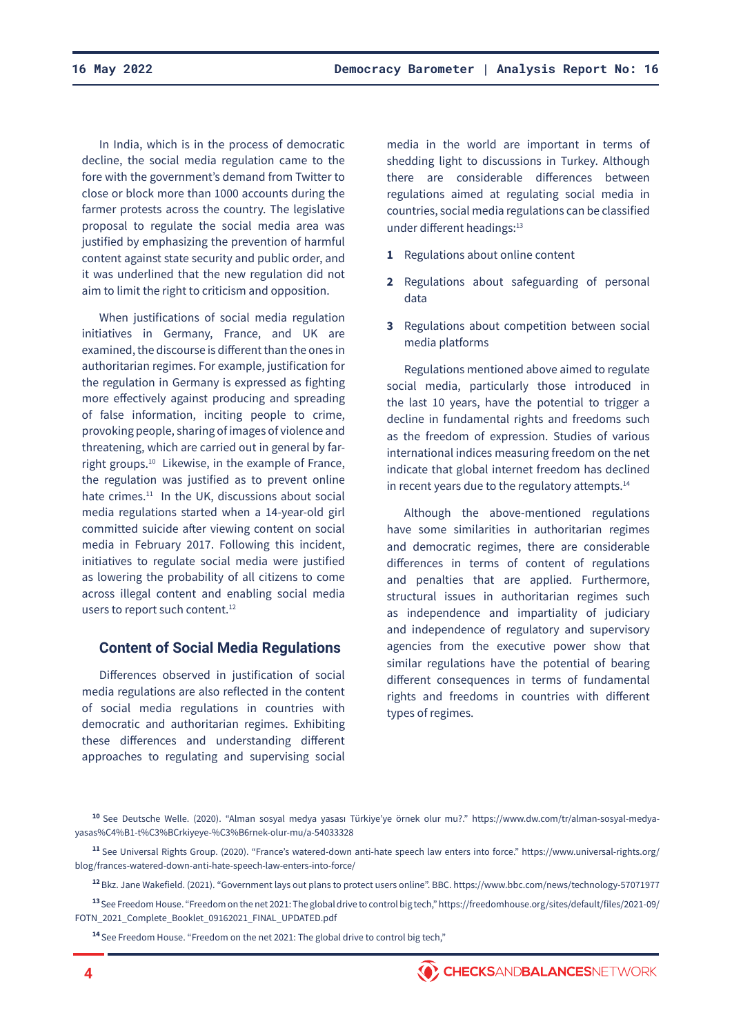In India, which is in the process of democratic decline, the social media regulation came to the fore with the government's demand from Twitter to close or block more than 1000 accounts during the farmer protests across the country. The legislative proposal to regulate the social media area was justified by emphasizing the prevention of harmful content against state security and public order, and it was underlined that the new regulation did not aim to limit the right to criticism and opposition.

When justifications of social media regulation initiatives in Germany, France, and UK are examined, the discourse is different than the ones in authoritarian regimes. For example, justification for the regulation in Germany is expressed as fighting more effectively against producing and spreading of false information, inciting people to crime, provoking people, sharing of images of violence and threatening, which are carried out in general by farright groups.10 Likewise, in the example of France, the regulation was justified as to prevent online hate crimes.<sup>11</sup> In the UK, discussions about social media regulations started when a 14-year-old girl committed suicide after viewing content on social media in February 2017. Following this incident, initiatives to regulate social media were justified as lowering the probability of all citizens to come across illegal content and enabling social media users to report such content.<sup>12</sup>

## **Content of Social Media Regulations**

Differences observed in justification of social media regulations are also reflected in the content of social media regulations in countries with democratic and authoritarian regimes. Exhibiting these differences and understanding different approaches to regulating and supervising social

media in the world are important in terms of shedding light to discussions in Turkey. Although there are considerable differences between regulations aimed at regulating social media in countries, social media regulations can be classified under different headings:<sup>13</sup>

- **1** Regulations about online content
- **2** Regulations about safeguarding of personal data
- **3** Regulations about competition between social media platforms

Regulations mentioned above aimed to regulate social media, particularly those introduced in the last 10 years, have the potential to trigger a decline in fundamental rights and freedoms such as the freedom of expression. Studies of various international indices measuring freedom on the net indicate that global internet freedom has declined in recent years due to the regulatory attempts.<sup>14</sup>

Although the above-mentioned regulations have some similarities in authoritarian regimes and democratic regimes, there are considerable differences in terms of content of regulations and penalties that are applied. Furthermore, structural issues in authoritarian regimes such as independence and impartiality of judiciary and independence of regulatory and supervisory agencies from the executive power show that similar regulations have the potential of bearing different consequences in terms of fundamental rights and freedoms in countries with different types of regimes.

**<sup>10</sup>**See Deutsche Welle. (2020). "Alman sosyal medya yasası Türkiye'ye örnek olur mu?." https://www.dw.com/tr/alman-sosyal-medyayasas%C4%B1-t%C3%BCrkiyeye-%C3%B6rnek-olur-mu/a-54033328

**<sup>11</sup>**See Universal Rights Group. (2020). "France's watered-down anti-hate speech law enters into force." https://www.universal-rights.org/ blog/frances-watered-down-anti-hate-speech-law-enters-into-force/

**<sup>12</sup>**Bkz. Jane Wakefield. (2021). "Government lays out plans to protect users online". BBC. https://www.bbc.com/news/technology-57071977

**<sup>13</sup>**See Freedom House. "Freedom on the net 2021: The global drive to control big tech," https://freedomhouse.org/sites/default/files/2021-09/ FOTN\_2021\_Complete\_Booklet\_09162021\_FINAL\_UPDATED.pdf

**<sup>14</sup>**See Freedom House. "Freedom on the net 2021: The global drive to control big tech,"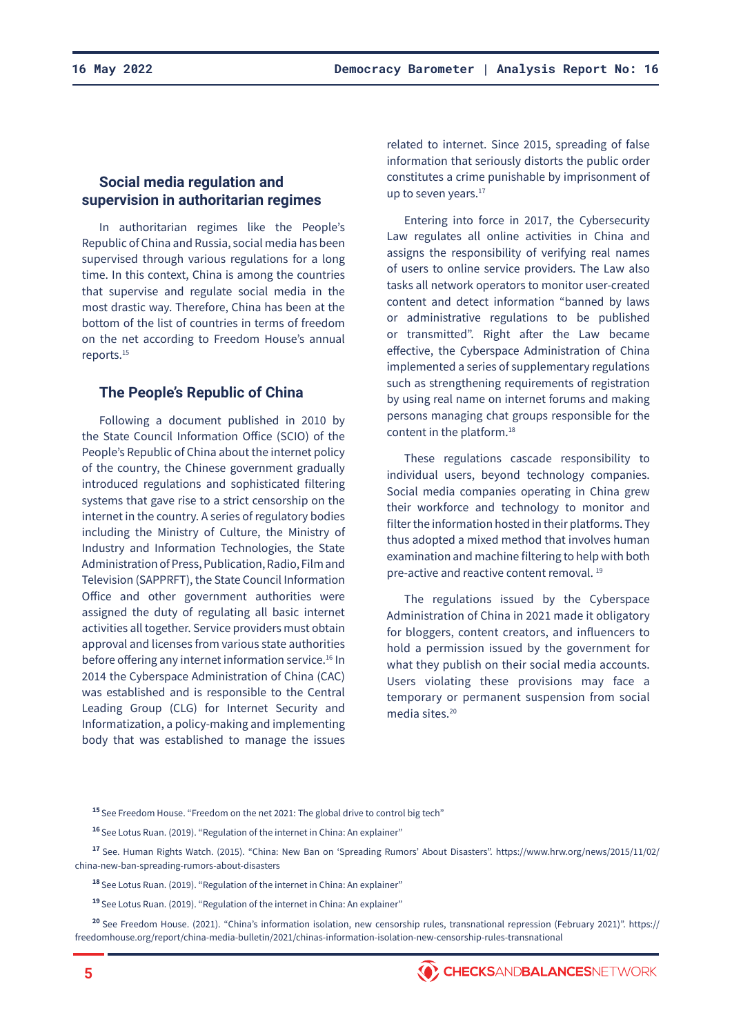# **Social media regulation and supervision in authoritarian regimes**

In authoritarian regimes like the People's Republic of China and Russia, social media has been supervised through various regulations for a long time. In this context, China is among the countries that supervise and regulate social media in the most drastic way. Therefore, China has been at the bottom of the list of countries in terms of freedom on the net according to Freedom House's annual reports.<sup>15</sup>

#### **The People's Republic of China**

Following a document published in 2010 by the State Council Information Office (SCIO) of the People's Republic of China about the internet policy of the country, the Chinese government gradually introduced regulations and sophisticated filtering systems that gave rise to a strict censorship on the internet in the country. A series of regulatory bodies including the Ministry of Culture, the Ministry of Industry and Information Technologies, the State Administration of Press, Publication, Radio, Film and Television (SAPPRFT), the State Council Information Office and other government authorities were assigned the duty of regulating all basic internet activities all together. Service providers must obtain approval and licenses from various state authorities before offering any internet information service.<sup>16</sup> In 2014 the Cyberspace Administration of China (CAC) was established and is responsible to the Central Leading Group (CLG) for Internet Security and Informatization, a policy-making and implementing body that was established to manage the issues

related to internet. Since 2015, spreading of false information that seriously distorts the public order constitutes a crime punishable by imprisonment of up to seven years.<sup>17</sup>

Entering into force in 2017, the Cybersecurity Law regulates all online activities in China and assigns the responsibility of verifying real names of users to online service providers. The Law also tasks all network operators to monitor user-created content and detect information "banned by laws or administrative regulations to be published or transmitted". Right after the Law became effective, the Cyberspace Administration of China implemented a series of supplementary regulations such as strengthening requirements of registration by using real name on internet forums and making persons managing chat groups responsible for the content in the platform.<sup>18</sup>

These regulations cascade responsibility to individual users, beyond technology companies. Social media companies operating in China grew their workforce and technology to monitor and filter the information hosted in their platforms. They thus adopted a mixed method that involves human examination and machine filtering to help with both pre-active and reactive content removal. <sup>19</sup>

The regulations issued by the Cyberspace Administration of China in 2021 made it obligatory for bloggers, content creators, and influencers to hold a permission issued by the government for what they publish on their social media accounts. Users violating these provisions may face a temporary or permanent suspension from social media sites.20

**<sup>15</sup>**See Freedom House. "Freedom on the net 2021: The global drive to control big tech"

**<sup>16</sup>**See Lotus Ruan. (2019). "Regulation of the internet in China: An explainer"

**<sup>17</sup>**See. Human Rights Watch. (2015). "China: New Ban on 'Spreading Rumors' About Disasters". https://www.hrw.org/news/2015/11/02/ china-new-ban-spreading-rumors-about-disasters

**<sup>18</sup>**See Lotus Ruan. (2019). "Regulation of the internet in China: An explainer"

**<sup>19</sup>**See Lotus Ruan. (2019). "Regulation of the internet in China: An explainer"

**<sup>20</sup>**See Freedom House. (2021). "China's information isolation, new censorship rules, transnational repression (February 2021)". https:// freedomhouse.org/report/china-media-bulletin/2021/chinas-information-isolation-new-censorship-rules-transnational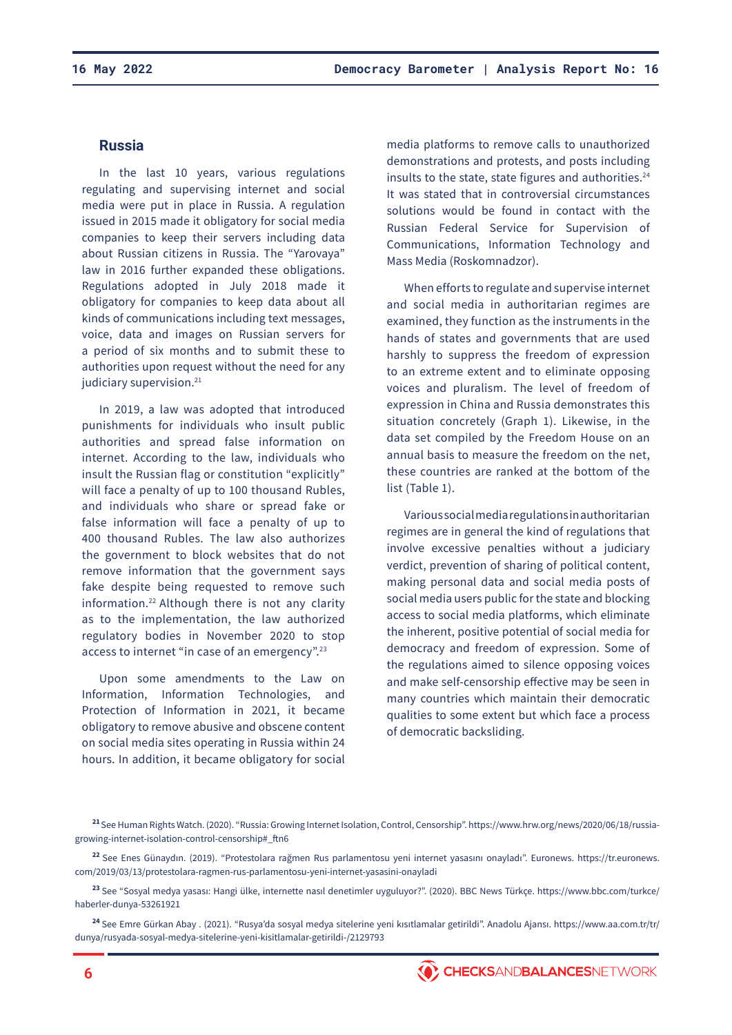## **Russia**

In the last 10 years, various regulations regulating and supervising internet and social media were put in place in Russia. A regulation issued in 2015 made it obligatory for social media companies to keep their servers including data about Russian citizens in Russia. The "Yarovaya" law in 2016 further expanded these obligations. Regulations adopted in July 2018 made it obligatory for companies to keep data about all kinds of communications including text messages, voice, data and images on Russian servers for a period of six months and to submit these to authorities upon request without the need for any judiciary supervision.<sup>21</sup>

In 2019, a law was adopted that introduced punishments for individuals who insult public authorities and spread false information on internet. According to the law, individuals who insult the Russian flag or constitution "explicitly" will face a penalty of up to 100 thousand Rubles, and individuals who share or spread fake or false information will face a penalty of up to 400 thousand Rubles. The law also authorizes the government to block websites that do not remove information that the government says fake despite being requested to remove such information.22 Although there is not any clarity as to the implementation, the law authorized regulatory bodies in November 2020 to stop access to internet "in case of an emergency".23

Upon some amendments to the Law on Information, Information Technologies, and Protection of Information in 2021, it became obligatory to remove abusive and obscene content on social media sites operating in Russia within 24 hours. In addition, it became obligatory for social

media platforms to remove calls to unauthorized demonstrations and protests, and posts including insults to the state, state figures and authorities.<sup>24</sup> It was stated that in controversial circumstances solutions would be found in contact with the Russian Federal Service for Supervision of Communications, Information Technology and Mass Media (Roskomnadzor).

When efforts to regulate and supervise internet and social media in authoritarian regimes are examined, they function as the instruments in the hands of states and governments that are used harshly to suppress the freedom of expression to an extreme extent and to eliminate opposing voices and pluralism. The level of freedom of expression in China and Russia demonstrates this situation concretely (Graph 1). Likewise, in the data set compiled by the Freedom House on an annual basis to measure the freedom on the net, these countries are ranked at the bottom of the list (Table 1).

Various social media regulations in authoritarian regimes are in general the kind of regulations that involve excessive penalties without a judiciary verdict, prevention of sharing of political content, making personal data and social media posts of social media users public for the state and blocking access to social media platforms, which eliminate the inherent, positive potential of social media for democracy and freedom of expression. Some of the regulations aimed to silence opposing voices and make self-censorship effective may be seen in many countries which maintain their democratic qualities to some extent but which face a process of democratic backsliding.

**<sup>21</sup>**See Human Rights Watch. (2020). "Russia: Growing Internet Isolation, Control, Censorship". https://www.hrw.org/news/2020/06/18/russiagrowing-internet-isolation-control-censorship#\_ftn6

**<sup>22</sup>**See Enes Günaydın. (2019). "Protestolara rağmen Rus parlamentosu yeni internet yasasını onayladı". Euronews. https://tr.euronews. com/2019/03/13/protestolara-ragmen-rus-parlamentosu-yeni-internet-yasasini-onayladi

**<sup>23</sup>**See "Sosyal medya yasası: Hangi ülke, internette nasıl denetimler uyguluyor?". (2020). BBC News Türkçe. https://www.bbc.com/turkce/ haberler-dunya-53261921

**<sup>24</sup>**See Emre Gürkan Abay . (2021). "Rusya'da sosyal medya sitelerine yeni kısıtlamalar getirildi". Anadolu Ajansı. https://www.aa.com.tr/tr/ dunya/rusyada-sosyal-medya-sitelerine-yeni-kisitlamalar-getirildi-/2129793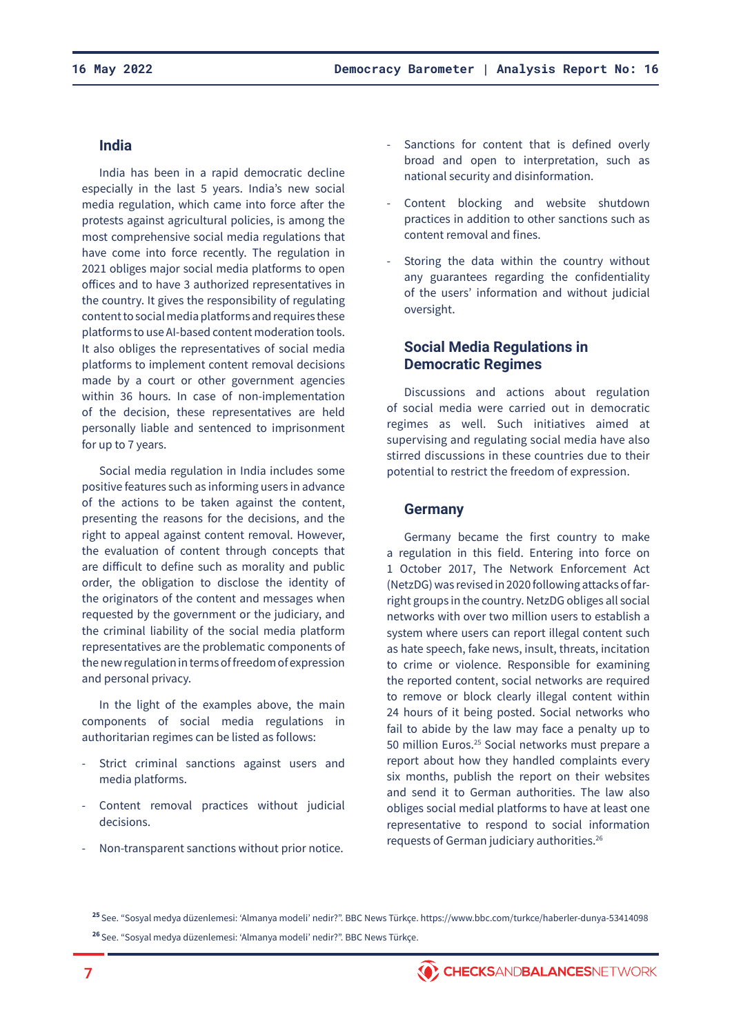## **India**

India has been in a rapid democratic decline especially in the last 5 years. India's new social media regulation, which came into force after the protests against agricultural policies, is among the most comprehensive social media regulations that have come into force recently. The regulation in 2021 obliges major social media platforms to open offices and to have 3 authorized representatives in the country. It gives the responsibility of regulating content to social media platforms and requires these platforms to use AI-based content moderation tools. It also obliges the representatives of social media platforms to implement content removal decisions made by a court or other government agencies within 36 hours. In case of non-implementation of the decision, these representatives are held personally liable and sentenced to imprisonment for up to 7 years.

Social media regulation in India includes some positive features such as informing users in advance of the actions to be taken against the content, presenting the reasons for the decisions, and the right to appeal against content removal. However, the evaluation of content through concepts that are difficult to define such as morality and public order, the obligation to disclose the identity of the originators of the content and messages when requested by the government or the judiciary, and the criminal liability of the social media platform representatives are the problematic components of the new regulation in terms of freedom of expression and personal privacy.

In the light of the examples above, the main components of social media regulations in authoritarian regimes can be listed as follows:

- Strict criminal sanctions against users and media platforms.
- Content removal practices without judicial decisions.
- Non-transparent sanctions without prior notice.
- Sanctions for content that is defined overly broad and open to interpretation, such as national security and disinformation.
- Content blocking and website shutdown practices in addition to other sanctions such as content removal and fines.
- Storing the data within the country without any guarantees regarding the confidentiality of the users' information and without judicial oversight.

# **Social Media Regulations in Democratic Regimes**

Discussions and actions about regulation of social media were carried out in democratic regimes as well. Such initiatives aimed at supervising and regulating social media have also stirred discussions in these countries due to their potential to restrict the freedom of expression.

## **Germany**

Germany became the first country to make a regulation in this field. Entering into force on 1 October 2017, The Network Enforcement Act (NetzDG) was revised in 2020 following attacks of farright groups in the country. NetzDG obliges all social networks with over two million users to establish a system where users can report illegal content such as hate speech, fake news, insult, threats, incitation to crime or violence. Responsible for examining the reported content, social networks are required to remove or block clearly illegal content within 24 hours of it being posted. Social networks who fail to abide by the law may face a penalty up to 50 million Euros.<sup>25</sup> Social networks must prepare a report about how they handled complaints every six months, publish the report on their websites and send it to German authorities. The law also obliges social medial platforms to have at least one representative to respond to social information requests of German judiciary authorities.26

**<sup>25</sup>**See. "Sosyal medya düzenlemesi: 'Almanya modeli' nedir?". BBC News Türkçe. https://www.bbc.com/turkce/haberler-dunya-53414098 **<sup>26</sup>**See. "Sosyal medya düzenlemesi: 'Almanya modeli' nedir?". BBC News Türkçe.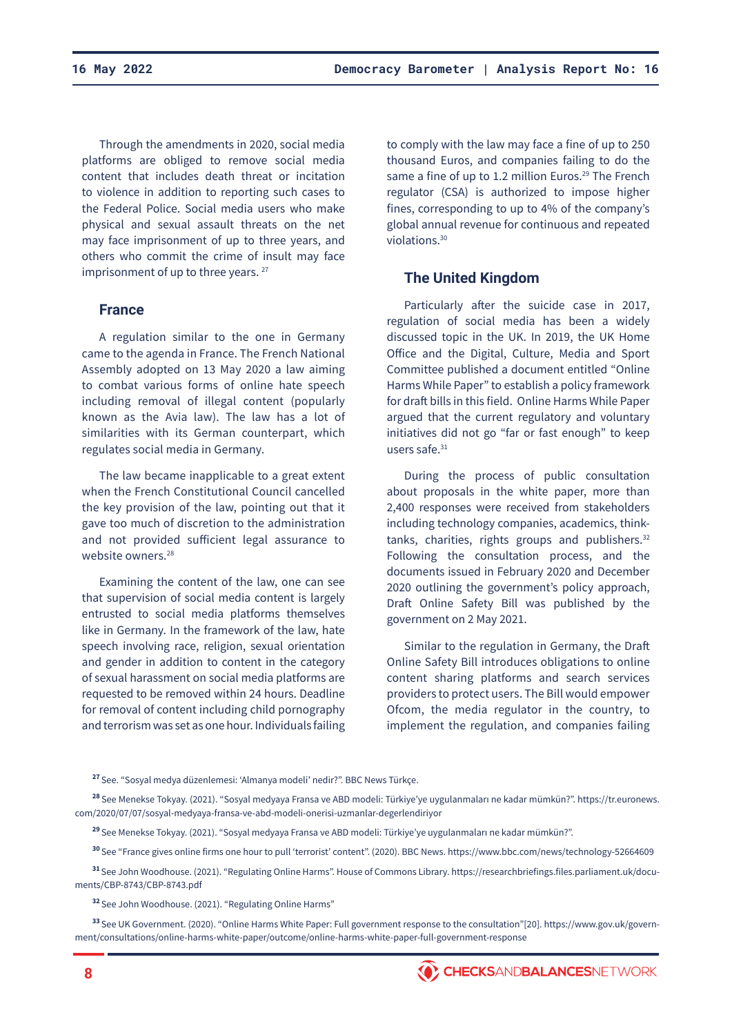Through the amendments in 2020, social media platforms are obliged to remove social media content that includes death threat or incitation to violence in addition to reporting such cases to the Federal Police. Social media users who make physical and sexual assault threats on the net may face imprisonment of up to three years, and others who commit the crime of insult may face imprisonment of up to three years.<sup>27</sup>

#### **France**

A regulation similar to the one in Germany came to the agenda in France. The French National Assembly adopted on 13 May 2020 a law aiming to combat various forms of online hate speech including removal of illegal content (popularly known as the Avia law). The law has a lot of similarities with its German counterpart, which regulates social media in Germany.

The law became inapplicable to a great extent when the French Constitutional Council cancelled the key provision of the law, pointing out that it gave too much of discretion to the administration and not provided sufficient legal assurance to website owners.<sup>28</sup>

Examining the content of the law, one can see that supervision of social media content is largely entrusted to social media platforms themselves like in Germany. In the framework of the law, hate speech involving race, religion, sexual orientation and gender in addition to content in the category of sexual harassment on social media platforms are requested to be removed within 24 hours. Deadline for removal of content including child pornography and terrorism was set as one hour. Individuals failing

to comply with the law may face a fine of up to 250 thousand Euros, and companies failing to do the same a fine of up to 1.2 million Euros.<sup>29</sup> The French regulator (CSA) is authorized to impose higher fines, corresponding to up to 4% of the company's global annual revenue for continuous and repeated violations.<sup>30</sup>

#### **The United Kingdom**

Particularly after the suicide case in 2017, regulation of social media has been a widely discussed topic in the UK. In 2019, the UK Home Office and the Digital, Culture, Media and Sport Committee published a document entitled "Online Harms While Paper" to establish a policy framework for draft bills in this field. Online Harms While Paper argued that the current regulatory and voluntary initiatives did not go "far or fast enough" to keep users safe.<sup>31</sup>

During the process of public consultation about proposals in the white paper, more than 2,400 responses were received from stakeholders including technology companies, academics, thinktanks, charities, rights groups and publishers.<sup>32</sup> Following the consultation process, and the documents issued in February 2020 and December 2020 outlining the government's policy approach, Draft Online Safety Bill was published by the government on 2 May 2021.

Similar to the regulation in Germany, the Draft Online Safety Bill introduces obligations to online content sharing platforms and search services providers to protect users. The Bill would empower Ofcom, the media regulator in the country, to implement the regulation, and companies failing

- **<sup>28</sup>**See Menekse Tokyay. (2021). "Sosyal medyaya Fransa ve ABD modeli: Türkiye'ye uygulanmaları ne kadar mümkün?". https://tr.euronews. com/2020/07/07/sosyal-medyaya-fransa-ve-abd-modeli-onerisi-uzmanlar-degerlendiriyor
	- **<sup>29</sup>**See Menekse Tokyay. (2021). "Sosyal medyaya Fransa ve ABD modeli: Türkiye'ye uygulanmaları ne kadar mümkün?".

**<sup>30</sup>**See "France gives online firms one hour to pull 'terrorist' content". (2020). BBC News. https://www.bbc.com/news/technology-52664609

**<sup>31</sup>**See John Woodhouse. (2021). "Regulating Online Harms". House of Commons Library. https://researchbriefings.files.parliament.uk/documents/CBP-8743/CBP-8743.pdf

**<sup>32</sup>**See John Woodhouse. (2021). "Regulating Online Harms"

**<sup>33</sup>**See UK Government. (2020). "Online Harms White Paper: Full government response to the consultation"[20]. https://www.gov.uk/government/consultations/online-harms-white-paper/outcome/online-harms-white-paper-full-government-response

**<sup>27</sup>**See. "Sosyal medya düzenlemesi: 'Almanya modeli' nedir?". BBC News Türkçe.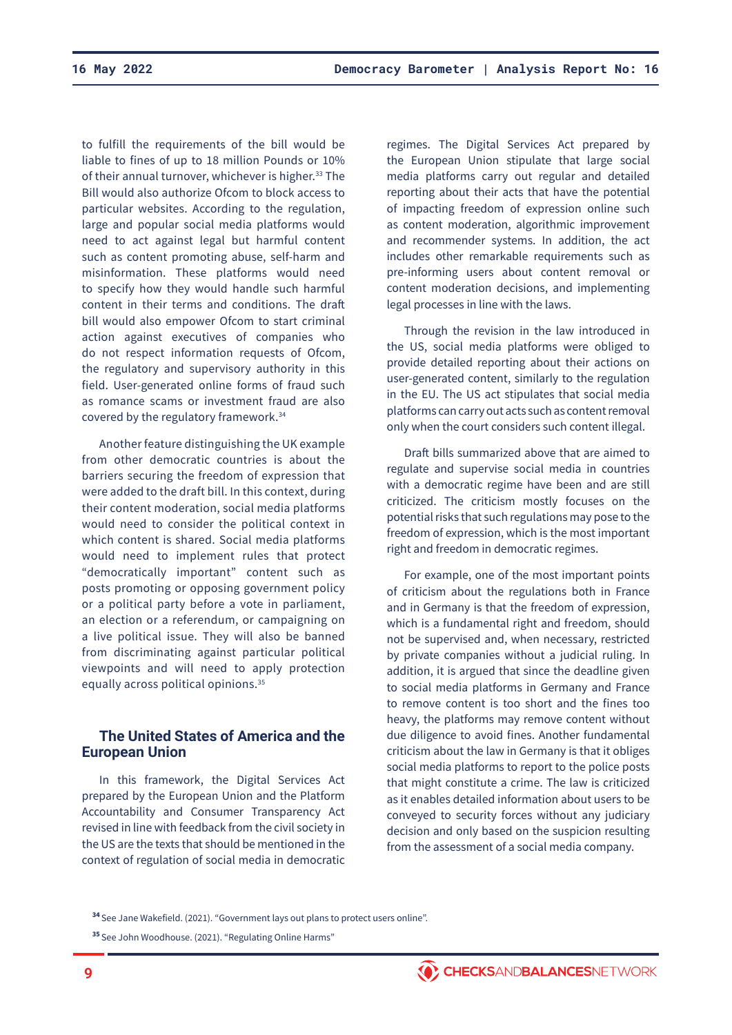to fulfill the requirements of the bill would be liable to fines of up to 18 million Pounds or 10% of their annual turnover, whichever is higher.<sup>33</sup> The Bill would also authorize Ofcom to block access to particular websites. According to the regulation, large and popular social media platforms would need to act against legal but harmful content such as content promoting abuse, self-harm and misinformation. These platforms would need to specify how they would handle such harmful content in their terms and conditions. The draft bill would also empower Ofcom to start criminal action against executives of companies who do not respect information requests of Ofcom, the regulatory and supervisory authority in this field. User-generated online forms of fraud such as romance scams or investment fraud are also covered by the regulatory framework.34

Another feature distinguishing the UK example from other democratic countries is about the barriers securing the freedom of expression that were added to the draft bill. In this context, during their content moderation, social media platforms would need to consider the political context in which content is shared. Social media platforms would need to implement rules that protect "democratically important" content such as posts promoting or opposing government policy or a political party before a vote in parliament, an election or a referendum, or campaigning on a live political issue. They will also be banned from discriminating against particular political viewpoints and will need to apply protection equally across political opinions.<sup>35</sup>

# **The United States of America and the European Union**

In this framework, the Digital Services Act prepared by the European Union and the Platform Accountability and Consumer Transparency Act revised in line with feedback from the civil society in the US are the texts that should be mentioned in the context of regulation of social media in democratic

regimes. The Digital Services Act prepared by the European Union stipulate that large social media platforms carry out regular and detailed reporting about their acts that have the potential of impacting freedom of expression online such as content moderation, algorithmic improvement and recommender systems. In addition, the act includes other remarkable requirements such as pre-informing users about content removal or content moderation decisions, and implementing legal processes in line with the laws.

Through the revision in the law introduced in the US, social media platforms were obliged to provide detailed reporting about their actions on user-generated content, similarly to the regulation in the EU. The US act stipulates that social media platforms can carry out acts such as content removal only when the court considers such content illegal.

Draft bills summarized above that are aimed to regulate and supervise social media in countries with a democratic regime have been and are still criticized. The criticism mostly focuses on the potential risks that such regulations may pose to the freedom of expression, which is the most important right and freedom in democratic regimes.

For example, one of the most important points of criticism about the regulations both in France and in Germany is that the freedom of expression, which is a fundamental right and freedom, should not be supervised and, when necessary, restricted by private companies without a judicial ruling. In addition, it is argued that since the deadline given to social media platforms in Germany and France to remove content is too short and the fines too heavy, the platforms may remove content without due diligence to avoid fines. Another fundamental criticism about the law in Germany is that it obliges social media platforms to report to the police posts that might constitute a crime. The law is criticized as it enables detailed information about users to be conveyed to security forces without any judiciary decision and only based on the suspicion resulting from the assessment of a social media company.



**<sup>34</sup>**See Jane Wakefield. (2021). "Government lays out plans to protect users online".

**<sup>35</sup>**See John Woodhouse. (2021). "Regulating Online Harms"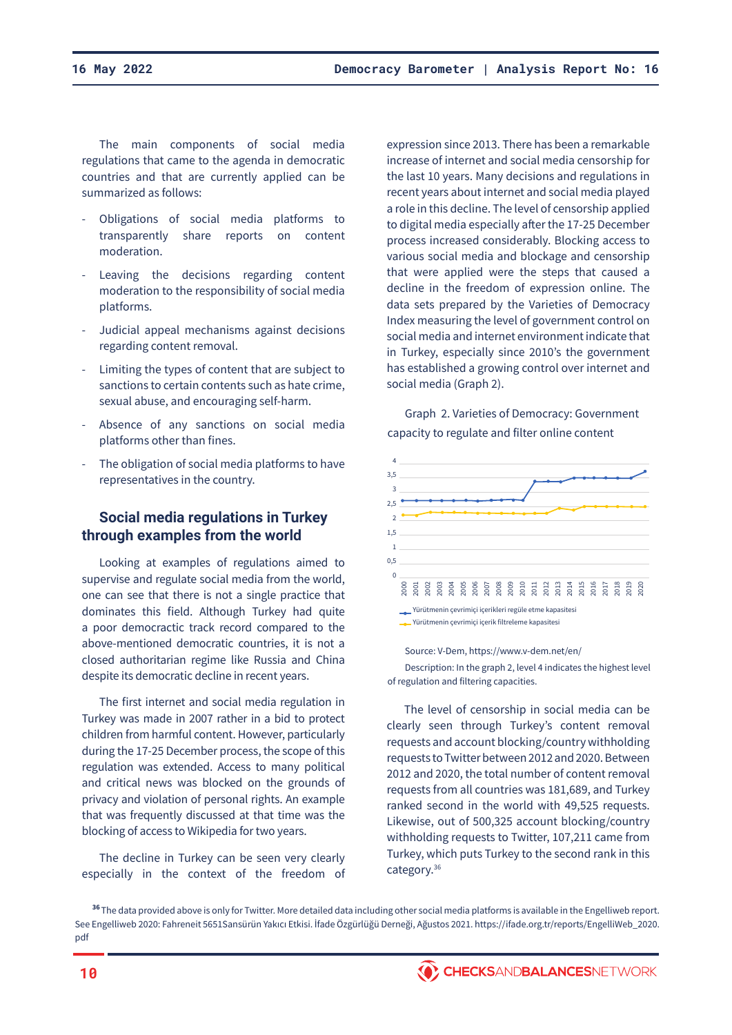The main components of social media regulations that came to the agenda in democratic countries and that are currently applied can be summarized as follows:

- Obligations of social media platforms to transparently share reports on content moderation.
- Leaving the decisions regarding content moderation to the responsibility of social media platforms.
- Judicial appeal mechanisms against decisions regarding content removal.
- Limiting the types of content that are subject to sanctions to certain contents such as hate crime, sexual abuse, and encouraging self-harm.
- Absence of any sanctions on social media platforms other than fines.
- The obligation of social media platforms to have representatives in the country.

# **Social media regulations in Turkey through examples from the world**

Looking at examples of regulations aimed to supervise and regulate social media from the world, one can see that there is not a single practice that dominates this field. Although Turkey had quite a poor democractic track record compared to the above-mentioned democratic countries, it is not a closed authoritarian regime like Russia and China despite its democratic decline in recent years.

The first internet and social media regulation in Turkey was made in 2007 rather in a bid to protect children from harmful content. However, particularly during the 17-25 December process, the scope of this regulation was extended. Access to many political and critical news was blocked on the grounds of privacy and violation of personal rights. An example that was frequently discussed at that time was the blocking of access to Wikipedia for two years.

The decline in Turkey can be seen very clearly especially in the context of the freedom of

expression since 2013. There has been a remarkable increase of internet and social media censorship for the last 10 years. Many decisions and regulations in recent years about internet and social media played a role in this decline. The level of censorship applied to digital media especially after the 17-25 December process increased considerably. Blocking access to various social media and blockage and censorship that were applied were the steps that caused a decline in the freedom of expression online. The data sets prepared by the Varieties of Democracy Index measuring the level of government control on social media and internet environment indicate that in Turkey, especially since 2010's the government has established a growing control over internet and social media (Graph 2).

Graph 2. Varieties of Democracy: Government capacity to regulate and filter online content



Source: V-Dem, https://www.v-dem.net/en/

Description: In the graph 2, level 4 indicates the highest level of regulation and filtering capacities.

The level of censorship in social media can be clearly seen through Turkey's content removal requests and account blocking/country withholding requests to Twitter between 2012 and 2020. Between 2012 and 2020, the total number of content removal requests from all countries was 181,689, and Turkey ranked second in the world with 49,525 requests. Likewise, out of 500,325 account blocking/country withholding requests to Twitter, 107,211 came from Turkey, which puts Turkey to the second rank in this category.<sup>36</sup>

**<sup>36</sup>**The data provided above is only for Twitter. More detailed data including other social media platforms is available in the Engelliweb report. See Engelliweb 2020: Fahreneit 5651Sansürün Yakıcı Etkisi. İfade Özgürlüğü Derneği, Ağustos 2021. https://ifade.org.tr/reports/EngelliWeb\_2020. pdf

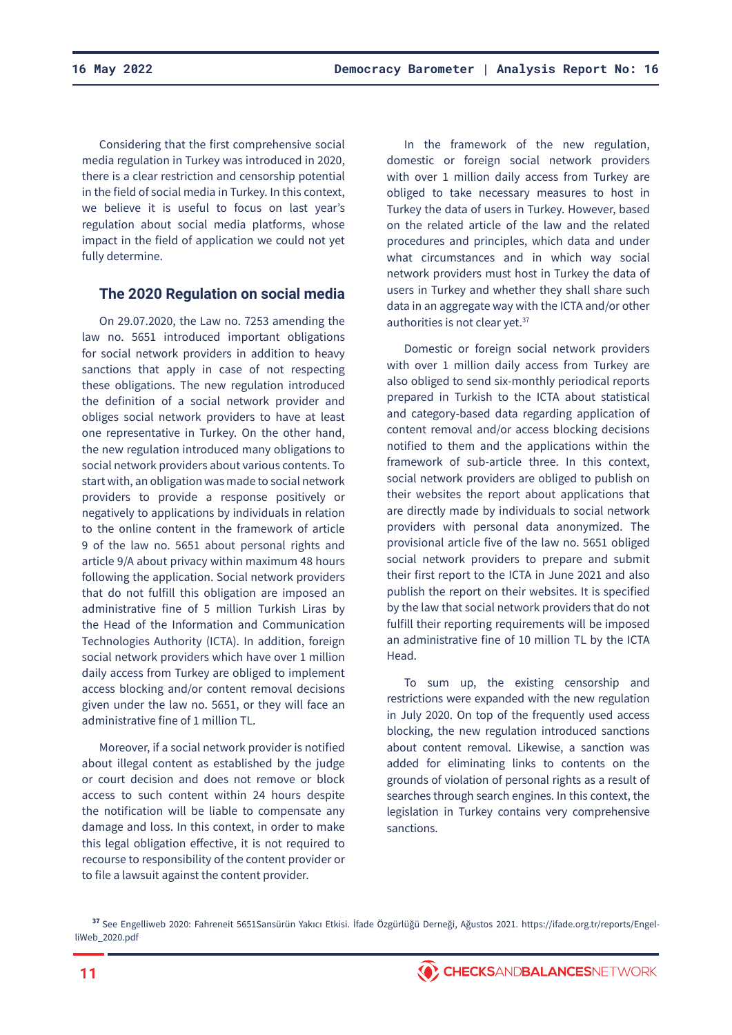Considering that the first comprehensive social media regulation in Turkey was introduced in 2020, there is a clear restriction and censorship potential in the field of social media in Turkey. In this context, we believe it is useful to focus on last year's regulation about social media platforms, whose impact in the field of application we could not yet fully determine.

# **The 2020 Regulation on social media**

On 29.07.2020, the Law no. 7253 amending the law no. 5651 introduced important obligations for social network providers in addition to heavy sanctions that apply in case of not respecting these obligations. The new regulation introduced the definition of a social network provider and obliges social network providers to have at least one representative in Turkey. On the other hand, the new regulation introduced many obligations to social network providers about various contents. To start with, an obligation was made to social network providers to provide a response positively or negatively to applications by individuals in relation to the online content in the framework of article 9 of the law no. 5651 about personal rights and article 9/A about privacy within maximum 48 hours following the application. Social network providers that do not fulfill this obligation are imposed an administrative fine of 5 million Turkish Liras by the Head of the Information and Communication Technologies Authority (ICTA). In addition, foreign social network providers which have over 1 million daily access from Turkey are obliged to implement access blocking and/or content removal decisions given under the law no. 5651, or they will face an administrative fine of 1 million TL.

Moreover, if a social network provider is notified about illegal content as established by the judge or court decision and does not remove or block access to such content within 24 hours despite the notification will be liable to compensate any damage and loss. In this context, in order to make this legal obligation effective, it is not required to recourse to responsibility of the content provider or to file a lawsuit against the content provider.

In the framework of the new regulation, domestic or foreign social network providers with over 1 million daily access from Turkey are obliged to take necessary measures to host in Turkey the data of users in Turkey. However, based on the related article of the law and the related procedures and principles, which data and under what circumstances and in which way social network providers must host in Turkey the data of users in Turkey and whether they shall share such data in an aggregate way with the ICTA and/or other authorities is not clear yet.<sup>37</sup>

Domestic or foreign social network providers with over 1 million daily access from Turkey are also obliged to send six-monthly periodical reports prepared in Turkish to the ICTA about statistical and category-based data regarding application of content removal and/or access blocking decisions notified to them and the applications within the framework of sub-article three. In this context, social network providers are obliged to publish on their websites the report about applications that are directly made by individuals to social network providers with personal data anonymized. The provisional article five of the law no. 5651 obliged social network providers to prepare and submit their first report to the ICTA in June 2021 and also publish the report on their websites. It is specified by the law that social network providers that do not fulfill their reporting requirements will be imposed an administrative fine of 10 million TL by the ICTA Head.

To sum up, the existing censorship and restrictions were expanded with the new regulation in July 2020. On top of the frequently used access blocking, the new regulation introduced sanctions about content removal. Likewise, a sanction was added for eliminating links to contents on the grounds of violation of personal rights as a result of searches through search engines. In this context, the legislation in Turkey contains very comprehensive sanctions.

**<sup>37</sup>**See Engelliweb 2020: Fahreneit 5651Sansürün Yakıcı Etkisi. İfade Özgürlüğü Derneği, Ağustos 2021. https://ifade.org.tr/reports/EngelliWeb\_2020.pdf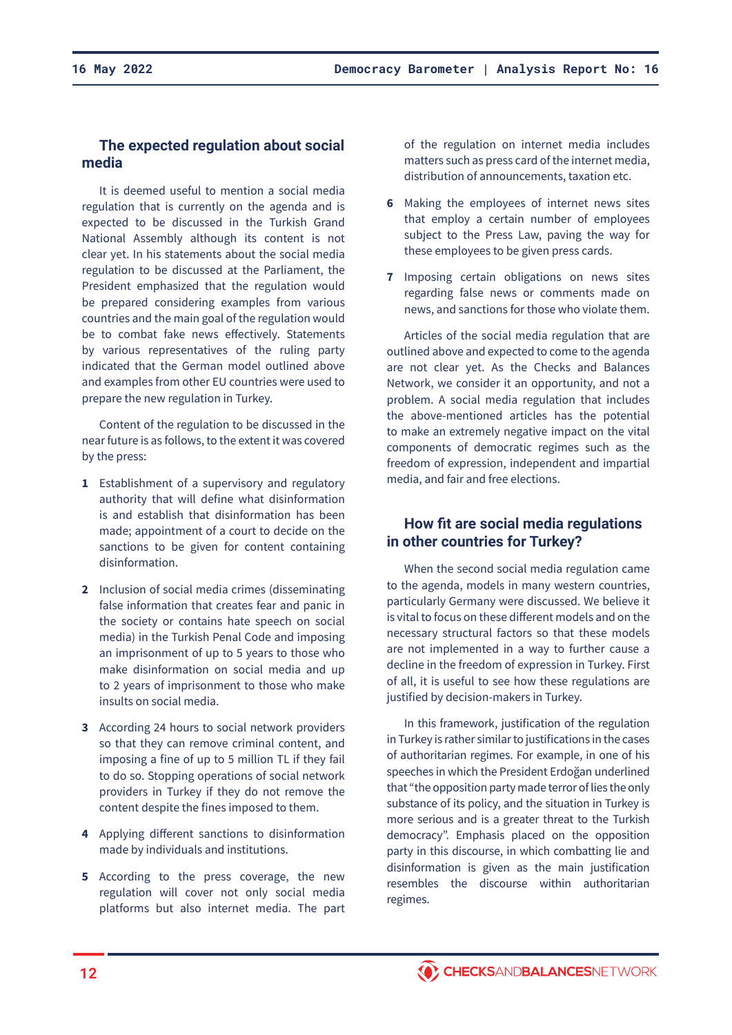# **The expected regulation about social media**

It is deemed useful to mention a social media regulation that is currently on the agenda and is expected to be discussed in the Turkish Grand National Assembly although its content is not clear yet. In his statements about the social media regulation to be discussed at the Parliament, the President emphasized that the regulation would be prepared considering examples from various countries and the main goal of the regulation would be to combat fake news effectively. Statements by various representatives of the ruling party indicated that the German model outlined above and examples from other EU countries were used to prepare the new regulation in Turkey.

Content of the regulation to be discussed in the near future is as follows, to the extent it was covered by the press:

- **1** Establishment of a supervisory and regulatory authority that will define what disinformation is and establish that disinformation has been made; appointment of a court to decide on the sanctions to be given for content containing disinformation.
- **2** Inclusion of social media crimes (disseminating false information that creates fear and panic in the society or contains hate speech on social media) in the Turkish Penal Code and imposing an imprisonment of up to 5 years to those who make disinformation on social media and up to 2 years of imprisonment to those who make insults on social media.
- **3** According 24 hours to social network providers so that they can remove criminal content, and imposing a fine of up to 5 million TL if they fail to do so. Stopping operations of social network providers in Turkey if they do not remove the content despite the fines imposed to them.
- **4** Applying different sanctions to disinformation made by individuals and institutions.
- **5** According to the press coverage, the new regulation will cover not only social media platforms but also internet media. The part

of the regulation on internet media includes matters such as press card of the internet media, distribution of announcements, taxation etc.

- **6** Making the employees of internet news sites that employ a certain number of employees subject to the Press Law, paving the way for these employees to be given press cards.
- **7** Imposing certain obligations on news sites regarding false news or comments made on news, and sanctions for those who violate them.

Articles of the social media regulation that are outlined above and expected to come to the agenda are not clear yet. As the Checks and Balances Network, we consider it an opportunity, and not a problem. A social media regulation that includes the above-mentioned articles has the potential to make an extremely negative impact on the vital components of democratic regimes such as the freedom of expression, independent and impartial media, and fair and free elections.

# **How fit are social media regulations in other countries for Turkey?**

When the second social media regulation came to the agenda, models in many western countries, particularly Germany were discussed. We believe it is vital to focus on these different models and on the necessary structural factors so that these models are not implemented in a way to further cause a decline in the freedom of expression in Turkey. First of all, it is useful to see how these regulations are justified by decision-makers in Turkey.

In this framework, justification of the regulation in Turkey is rather similar to justifications in the cases of authoritarian regimes. For example, in one of his speeches in which the President Erdoğan underlined that "the opposition party made terror of lies the only substance of its policy, and the situation in Turkey is more serious and is a greater threat to the Turkish democracy". Emphasis placed on the opposition party in this discourse, in which combatting lie and disinformation is given as the main justification resembles the discourse within authoritarian regimes.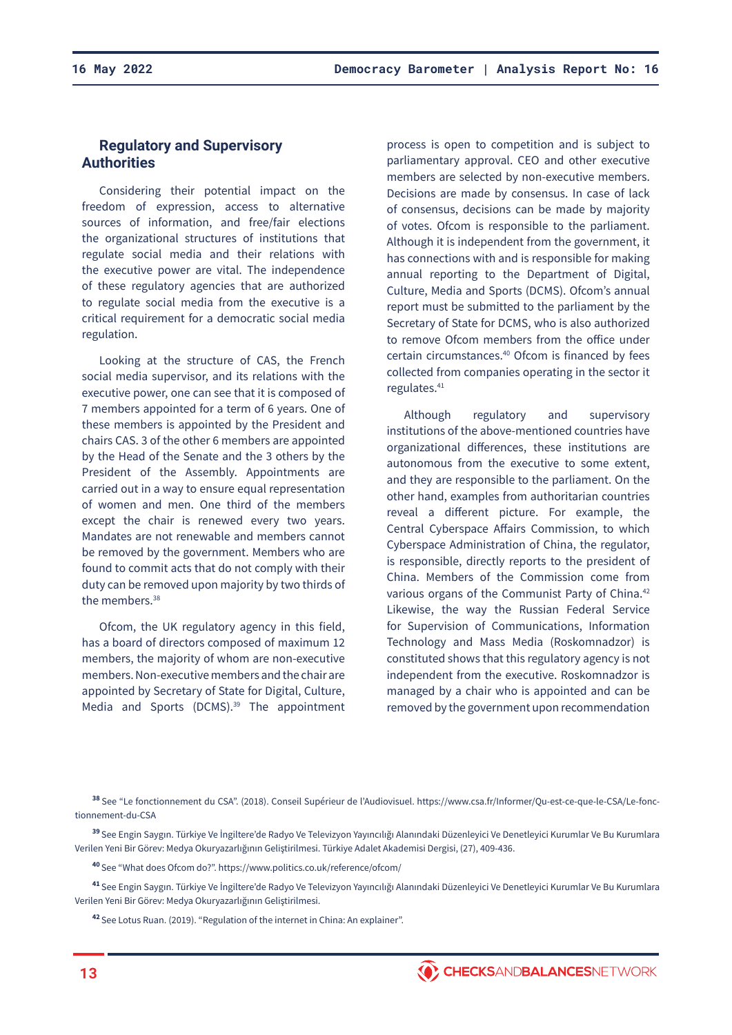# **Regulatory and Supervisory Authorities**

Considering their potential impact on the freedom of expression, access to alternative sources of information, and free/fair elections the organizational structures of institutions that regulate social media and their relations with the executive power are vital. The independence of these regulatory agencies that are authorized to regulate social media from the executive is a critical requirement for a democratic social media regulation.

Looking at the structure of CAS, the French social media supervisor, and its relations with the executive power, one can see that it is composed of 7 members appointed for a term of 6 years. One of these members is appointed by the President and chairs CAS. 3 of the other 6 members are appointed by the Head of the Senate and the 3 others by the President of the Assembly. Appointments are carried out in a way to ensure equal representation of women and men. One third of the members except the chair is renewed every two years. Mandates are not renewable and members cannot be removed by the government. Members who are found to commit acts that do not comply with their duty can be removed upon majority by two thirds of the members.<sup>38</sup>

Ofcom, the UK regulatory agency in this field, has a board of directors composed of maximum 12 members, the majority of whom are non-executive members. Non-executive members and the chair are appointed by Secretary of State for Digital, Culture, Media and Sports (DCMS).<sup>39</sup> The appointment

process is open to competition and is subject to parliamentary approval. CEO and other executive members are selected by non-executive members. Decisions are made by consensus. In case of lack of consensus, decisions can be made by majority of votes. Ofcom is responsible to the parliament. Although it is independent from the government, it has connections with and is responsible for making annual reporting to the Department of Digital, Culture, Media and Sports (DCMS). Ofcom's annual report must be submitted to the parliament by the Secretary of State for DCMS, who is also authorized to remove Ofcom members from the office under certain circumstances.40 Ofcom is financed by fees collected from companies operating in the sector it regulates.<sup>41</sup>

Although regulatory and supervisory institutions of the above-mentioned countries have organizational differences, these institutions are autonomous from the executive to some extent, and they are responsible to the parliament. On the other hand, examples from authoritarian countries reveal a different picture. For example, the Central Cyberspace Affairs Commission, to which Cyberspace Administration of China, the regulator, is responsible, directly reports to the president of China. Members of the Commission come from various organs of the Communist Party of China.<sup>42</sup> Likewise, the way the Russian Federal Service for Supervision of Communications, Information Technology and Mass Media (Roskomnadzor) is constituted shows that this regulatory agency is not independent from the executive. Roskomnadzor is managed by a chair who is appointed and can be removed by the government upon recommendation

**<sup>38</sup>**See "Le fonctionnement du CSA". (2018). Conseil Supérieur de l'Audiovisuel. https://www.csa.fr/Informer/Qu-est-ce-que-le-CSA/Le-fonctionnement-du-CSA

**<sup>39</sup>**See Engin Saygın. Türkiye Ve İngiltere'de Radyo Ve Televizyon Yayıncılığı Alanındaki Düzenleyici Ve Denetleyici Kurumlar Ve Bu Kurumlara Verilen Yeni Bir Görev: Medya Okuryazarlığının Geliştirilmesi. Türkiye Adalet Akademisi Dergisi, (27), 409-436.

**<sup>40</sup>**See "What does Ofcom do?". https://www.politics.co.uk/reference/ofcom/

**<sup>41</sup>**See Engin Saygın. Türkiye Ve İngiltere'de Radyo Ve Televizyon Yayıncılığı Alanındaki Düzenleyici Ve Denetleyici Kurumlar Ve Bu Kurumlara Verilen Yeni Bir Görev: Medya Okuryazarlığının Geliştirilmesi.

**<sup>42</sup>**See Lotus Ruan. (2019). "Regulation of the internet in China: An explainer".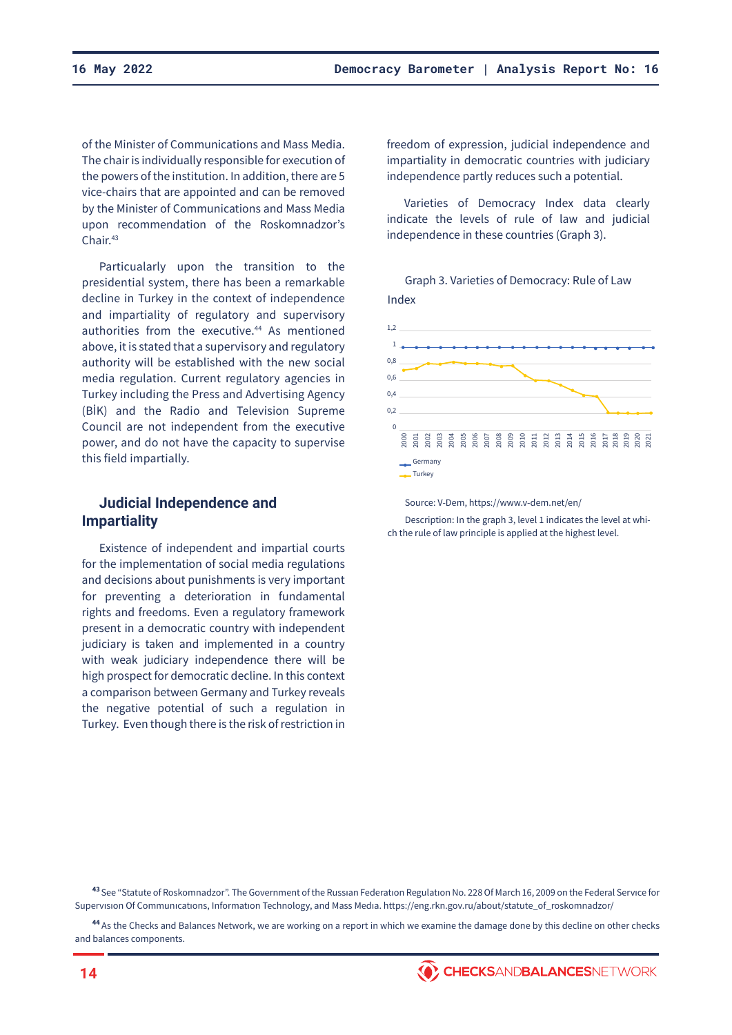of the Minister of Communications and Mass Media. The chair is individually responsible for execution of the powers of the institution. In addition, there are 5 vice-chairs that are appointed and can be removed by the Minister of Communications and Mass Media upon recommendation of the Roskomnadzor's Chair.<sup>43</sup>

Particualarly upon the transition to the presidential system, there has been a remarkable decline in Turkey in the context of independence and impartiality of regulatory and supervisory authorities from the executive.<sup>44</sup> As mentioned above, it is stated that a supervisory and regulatory authority will be established with the new social media regulation. Current regulatory agencies in Turkey including the Press and Advertising Agency (BİK) and the Radio and Television Supreme Council are not independent from the executive power, and do not have the capacity to supervise this field impartially.

## **Judicial Independence and Impartiality**

Existence of independent and impartial courts for the implementation of social media regulations and decisions about punishments is very important for preventing a deterioration in fundamental rights and freedoms. Even a regulatory framework present in a democratic country with independent judiciary is taken and implemented in a country with weak judiciary independence there will be high prospect for democratic decline. In this context a comparison between Germany and Turkey reveals the negative potential of such a regulation in Turkey. Even though there is the risk of restriction in

freedom of expression, judicial independence and impartiality in democratic countries with judiciary independence partly reduces such a potential.

Varieties of Democracy Index data clearly indicate the levels of rule of law and judicial independence in these countries (Graph 3).

Graph 3. Varieties of Democracy: Rule of Law Index



Source: V-Dem, https://www.v-dem.net/en/

Description: In the graph 3, level 1 indicates the level at which the rule of law principle is applied at the highest level.

**<sup>43</sup>**See "Statute of Roskomnadzor". The Government of the Russıan Federatıon Regulatıon No. 228 Of March 16, 2009 on the Federal Servıce for Supervısıon Of Communıcatıons, Informatıon Technology, and Mass Medıa. https://eng.rkn.gov.ru/about/statute\_of\_roskomnadzor/

**<sup>44</sup>**As the Checks and Balances Network, we are working on a report in which we examine the damage done by this decline on other checks and balances components.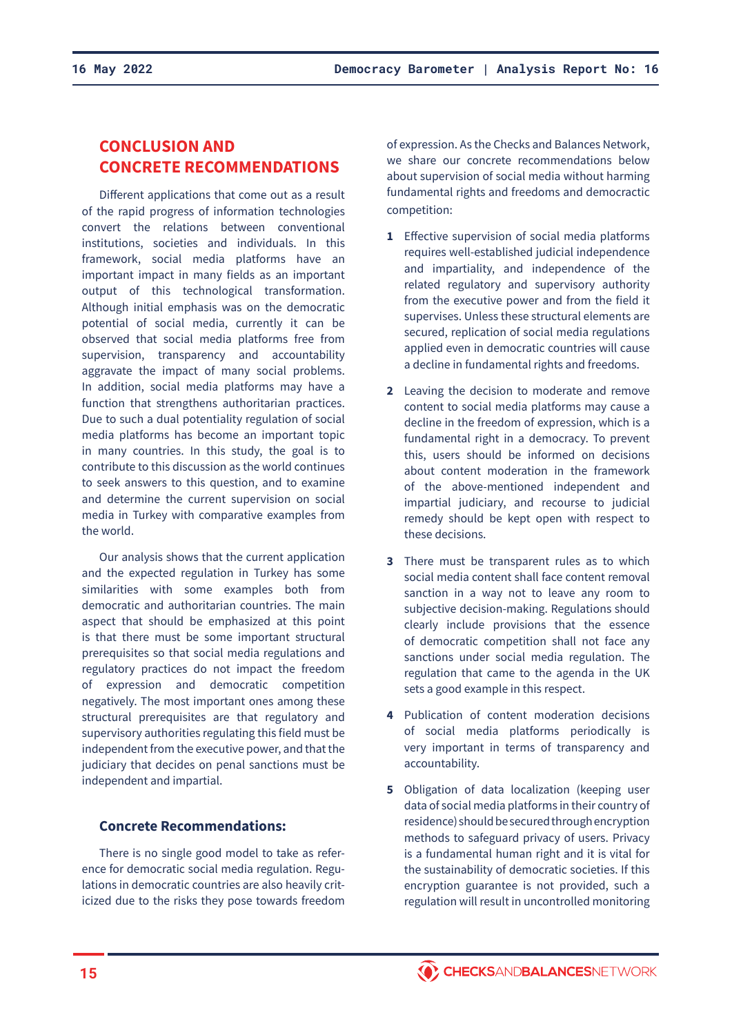# **CONCLUSION AND CONCRETE RECOMMENDATIONS**

Different applications that come out as a result of the rapid progress of information technologies convert the relations between conventional institutions, societies and individuals. In this framework, social media platforms have an important impact in many fields as an important output of this technological transformation. Although initial emphasis was on the democratic potential of social media, currently it can be observed that social media platforms free from supervision, transparency and accountability aggravate the impact of many social problems. In addition, social media platforms may have a function that strengthens authoritarian practices. Due to such a dual potentiality regulation of social media platforms has become an important topic in many countries. In this study, the goal is to contribute to this discussion as the world continues to seek answers to this question, and to examine and determine the current supervision on social media in Turkey with comparative examples from the world.

Our analysis shows that the current application and the expected regulation in Turkey has some similarities with some examples both from democratic and authoritarian countries. The main aspect that should be emphasized at this point is that there must be some important structural prerequisites so that social media regulations and regulatory practices do not impact the freedom of expression and democratic competition negatively. The most important ones among these structural prerequisites are that regulatory and supervisory authorities regulating this field must be independent from the executive power, and that the judiciary that decides on penal sanctions must be independent and impartial.

# **Concrete Recommendations:**

There is no single good model to take as reference for democratic social media regulation. Regulations in democratic countries are also heavily criticized due to the risks they pose towards freedom of expression. As the Checks and Balances Network, we share our concrete recommendations below about supervision of social media without harming fundamental rights and freedoms and democractic competition:

- **1** Effective supervision of social media platforms requires well-established judicial independence and impartiality, and independence of the related regulatory and supervisory authority from the executive power and from the field it supervises. Unless these structural elements are secured, replication of social media regulations applied even in democratic countries will cause a decline in fundamental rights and freedoms.
- **2** Leaving the decision to moderate and remove content to social media platforms may cause a decline in the freedom of expression, which is a fundamental right in a democracy. To prevent this, users should be informed on decisions about content moderation in the framework of the above-mentioned independent and impartial judiciary, and recourse to judicial remedy should be kept open with respect to these decisions.
- **3** There must be transparent rules as to which social media content shall face content removal sanction in a way not to leave any room to subjective decision-making. Regulations should clearly include provisions that the essence of democratic competition shall not face any sanctions under social media regulation. The regulation that came to the agenda in the UK sets a good example in this respect.
- **4** Publication of content moderation decisions of social media platforms periodically is very important in terms of transparency and accountability.
- **5** Obligation of data localization (keeping user data of social media platforms in their country of residence) should be secured through encryption methods to safeguard privacy of users. Privacy is a fundamental human right and it is vital for the sustainability of democratic societies. If this encryption guarantee is not provided, such a regulation will result in uncontrolled monitoring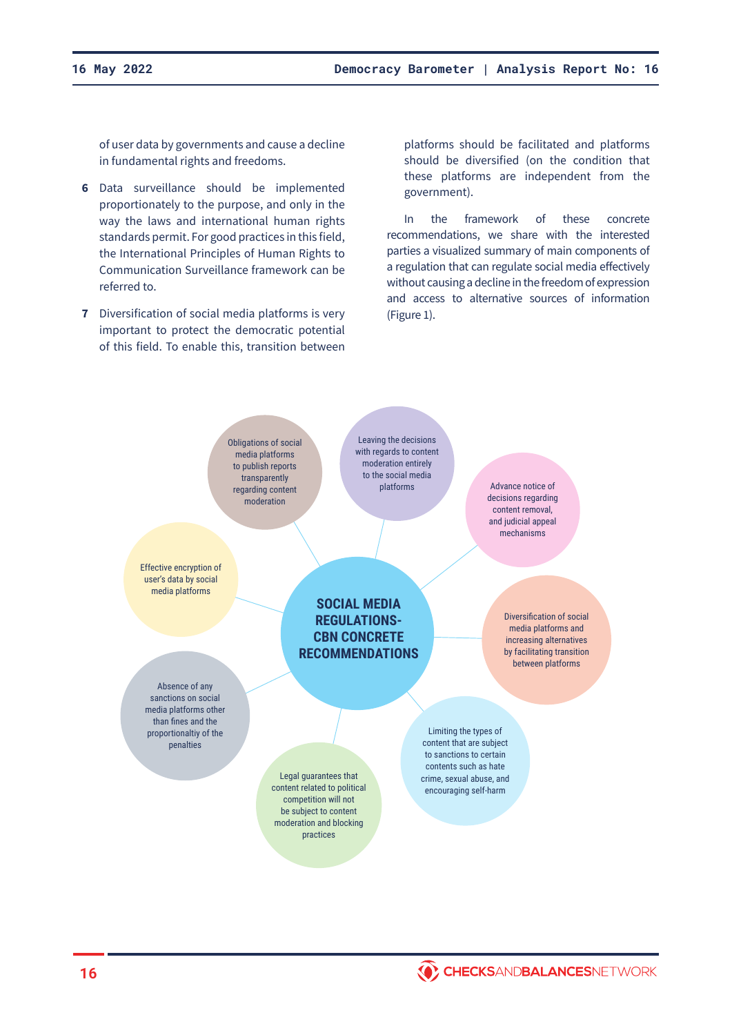of user data by governments and cause a decline in fundamental rights and freedoms.

- **6** Data surveillance should be implemented proportionately to the purpose, and only in the way the laws and international human rights standards permit. For good practices in this field, the International Principles of Human Rights to Communication Surveillance framework can be referred to.
- **7** Diversification of social media platforms is very important to protect the democratic potential of this field. To enable this, transition between

platforms should be facilitated and platforms should be diversified (on the condition that these platforms are independent from the government).

In the framework of these concrete recommendations, we share with the interested parties a visualized summary of main components of a regulation that can regulate social media effectively without causing a decline in the freedom of expression and access to alternative sources of information (Figure 1).